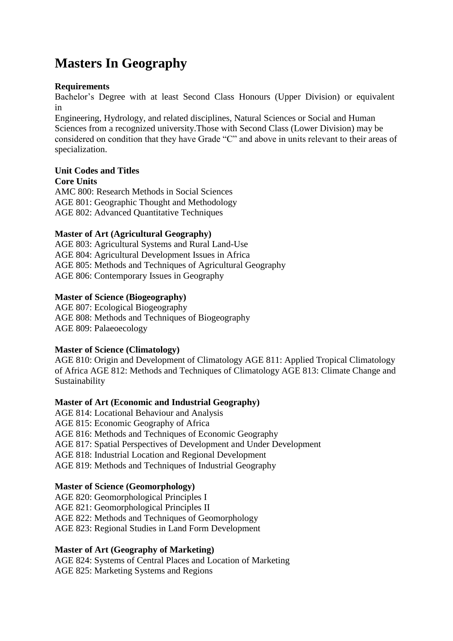# **Masters In Geography**

#### **Requirements**

Bachelor's Degree with at least Second Class Honours (Upper Division) or equivalent in

Engineering, Hydrology, and related disciplines, Natural Sciences or Social and Human Sciences from a recognized university.Those with Second Class (Lower Division) may be considered on condition that they have Grade "C" and above in units relevant to their areas of specialization.

## **Unit Codes and Titles**

**Core Units** AMC 800: Research Methods in Social Sciences AGE 801: Geographic Thought and Methodology AGE 802: Advanced Quantitative Techniques

#### **Master of Art (Agricultural Geography)**

AGE 803: Agricultural Systems and Rural Land-Use AGE 804: Agricultural Development Issues in Africa AGE 805: Methods and Techniques of Agricultural Geography AGE 806: Contemporary Issues in Geography

#### **Master of Science (Biogeography)**

AGE 807: Ecological Biogeography AGE 808: Methods and Techniques of Biogeography AGE 809: Palaeoecology

#### **Master of Science (Climatology)**

AGE 810: Origin and Development of Climatology AGE 811: Applied Tropical Climatology of Africa AGE 812: Methods and Techniques of Climatology AGE 813: Climate Change and Sustainability

#### **Master of Art (Economic and Industrial Geography)**

AGE 814: Locational Behaviour and Analysis AGE 815: Economic Geography of Africa AGE 816: Methods and Techniques of Economic Geography AGE 817: Spatial Perspectives of Development and Under Development AGE 818: Industrial Location and Regional Development AGE 819: Methods and Techniques of Industrial Geography

#### **Master of Science (Geomorphology)**

AGE 820: Geomorphological Principles I AGE 821: Geomorphological Principles II AGE 822: Methods and Techniques of Geomorphology AGE 823: Regional Studies in Land Form Development

#### **Master of Art (Geography of Marketing)**

AGE 824: Systems of Central Places and Location of Marketing AGE 825: Marketing Systems and Regions